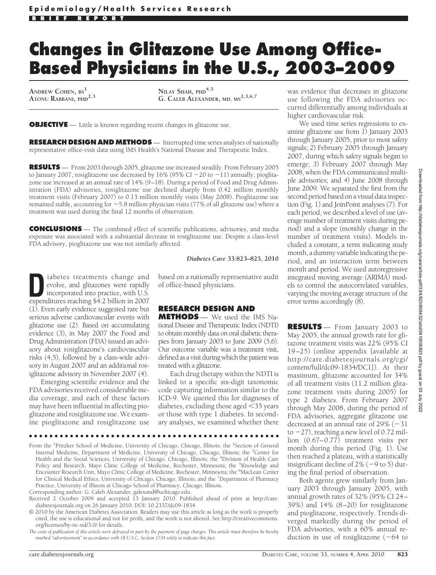# **Changes in Glitazone Use Among Office-Based Physicians in the U.S., 2003–2009**

**ANDREW COHEN, BS<sup>1</sup> ATONU RABBANI, PHD2,3** **NILAY SHAH, PHD4,5 G. CALEB ALEXANDER, MD, MS2,3,6,7**

**OBJECTIVE** — Little is known regarding recent changes in glitazone use.

**RESEARCH DESIGN AND METHODS** — Interrupted time series analyses of nationally representative office-visit data using IMS Health's National Disease and Therapeutic Index.

**RESULTS** — From 2003 through 2005, glitazone use increased steadily. From February 2005 to January 2007, rosiglitazone use decreased by  $16\%$  (95% CI  $-20$  to  $-11$ ) annually; pioglitazone use increased at an annual rate of 14% (9–18). During a period of Food and Drug Administration (FDA) advisories, rosiglitazone use declined sharply from 0.42 million monthly treatment visits (February 2007) to 0.13 million monthly visits (May 2008). Pioglitazone use remained stable, accounting for -5.8 million physician visits (77% of all glitazone use) where a treatment was used during the final 12 months of observation.

**CONCLUSIONS** — The combined effect of scientific publications, advisories, and media exposure was associated with a substantial decrease in rosiglitazone use. Despite a class-level FDA advisory, pioglitazone use was not similarly affected.

*Diabetes Care* **33:823–825, 2010**

iabetes treatments change and evolve, and glitazones were rapidly incorporated into practice, with U.S. expenditures reaching \$4.2 billion in 2007 (1). Even early evidence suggested rare but serious adverse cardiovascular events with glitazone use (2). Based on accumulating evidence (3), in May 2007 the Food and Drug Administration (FDA) issued an advisory about rosiglitazone's cardiovascular risks (4,5), followed by a class-wide advisory in August 2007 and an additional rosiglitazone advisory in November 2007 (4).

Emerging scientific evidence and the FDA advisories received considerable media coverage, and each of these factors may have been influential in affecting pioglitazone and rosiglitazone use. We examine pioglitazone and rosiglitazone use based on a nationally representative audit of office-based physicians.

## **RESEARCH DESIGN AND**

**METHODS** — We used the IMS National Disease and Therapeutic Index (NDTI) to obtain monthly data on oral diabetic therapies from January 2003 to June 2009 (5,6). Our outcome variable was a treatment visit, defined as a visit during which the patient was treated with a glitazone.

Each drug therapy within the NDTI is linked to a specific six-digit taxonomic code capturing information similar to the ICD-9. We queried this for diagnoses of diabetes, excluding those aged  $\leq$ 35 years or those with type 1 diabetes. In secondary analyses, we examined whether there

●●●●●●●●●●●●●●●●●●●●●●●●●●●●●●●●●●●●●●●●●●●●●●●●●

From the <sup>1</sup>Pritzker School of Medicine, University of Chicago, Chicago, Illinois; the <sup>2</sup>Section of General Internal Medicine, Department of Medicine, University of Chicago, Chicago, Illinois; the <sup>3</sup>Center for<br>Health and the Social Sciences, University of Chicago, Chicago, Illinois; the <sup>4</sup>Division of Health Care Policy and Research, Mayo Clinic College of Medicine, Rochester, Minnesota; the <sup>5</sup>Knowledge and Encounter Research Unit, Mayo Clinic College of Medicine, Rochester, Minnesota; the <sup>6</sup>MacLean Center for Clinical Medical Ethics, University of Chicago, Chicago, Illinois; and the <sup>7</sup>Department of Pharmacy Practice, University of Illinois at Chicago School of Pharmacy, Chicago, Illinois.

Corresponding author: G. Caleb Alexander, galexand@uchicago.edu.

- Received 2 October 2009 and accepted 13 January 2010. Published ahead of print at http://care. diabetesjournals.org on 26 January 2010. DOI: 10.2337/dc09-1834.
- © 2010 by the American Diabetes Association. Readers may use this article as long as the work is properly cited, the use is educational and not for profit, and the work is not altered. See http://creativecommons. org/licenses/by-nc-nd/3.0/ for details.

*The costs of publication of this article were defrayed in part by the payment of page charges. This article must therefore be hereby marked "advertisement" in accordance with 18 U.S.C. Section 1734 solely to indicate this fact.*

was evidence that decreases in glitazone use following the FDA advisories occurred differentially among individuals at higher cardiovascular risk.

We used time series regressions to examine glitazone use from *1*) January 2003 through January 2005, prior to most safety signals; *2*) February 2005 through January 2007, during which safety signals began to emerge; *3*) February 2007 through May 2008, when the FDA communicated multiple advisories; and *4*) June 2008 through June 2009. We separated the first from the second period based on a visual data inspection (Fig. 1) and JoinPoint analyses (7). For each period, we described a level of use (average number of treatment visits during period) and a slope (monthly change in the number of treatment visits). Models included a constant, a term indicating study month, a dummy variable indicating the period, and an interaction term between month and period. We used autoregressive integrated moving average (ARIMA) models to control the autocorrelated variables, varying the moving average structure of the error terms accordingly (8).

Downloaded from http://diabetesjournals.org/care/article-pdf/33/4/823/606432/zdc00410000823.pdf by guest on 03 July 2022Downloaded from http://diabetesjournals.org/care/article-pdf/33/4/823/606432/zdc00410000823.pdf by guest on 03 July 2022 **RESULTS** — From January 2003 to May 2005, the annual growth rate for glitazone treatment visits was 22% (95% CI 19–25) (online appendix [available at http://care.diabetesjournals.org/cgi/ content/full/dc09-1834/DC1]). At their maximum, glitazone accounted for 34% of all treatment visits (11.2 million glitazone treatment visits during 2005) for type 2 diabetes. From February 2007 through May 2008, during the period of

FDA advisories, aggregate glitazone use decreased at an annual rate of  $29\%$  (-31 to  $-27$ ), reaching a new level of 0.72 million (0.67–0.77) treatment visits per month during this period (Fig. 1). Use then reached a plateau, with a statistically insignificant decline of  $2\%$  (-9 to 5) during the final period of observation.

Both agents grew similarly from January 2003 through January 2005, with annual growth rates of 32% (95% CI 24– 39%) and 14% (8–20) for rosiglitazone and pioglitazone, respectively. Trends diverged markedly during the period of FDA advisories, with a 60% annual reduction in use of rosiglitazone  $(-64$  to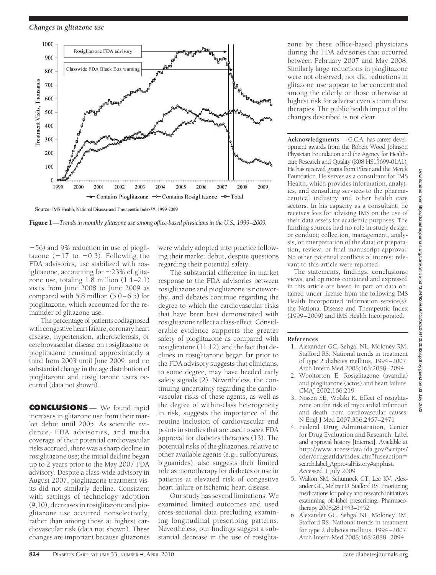#### *Changes in glitazone use*



Source: IMS Health, National Disease and Therapeutic Index<sup>TM</sup>, 1999-2009

Figure 1—*Trends in monthly glitazone use among office-based physicians in the U.S., 1999–2009.*

56) and 9% reduction in use of pioglitazone  $(-17$  to  $-0.3)$ . Following the FDA advisories, use stabilized with rosiglitazone, accounting for  $\sim$ 23% of glitazone use, totaling 1.8 million (1.4–2.1) visits from June 2008 to June 2009 as compared with 5.8 million (5.0–6.5) for pioglitazone, which accounted for the remainder of glitazone use.

The percentage of patients codiagnosed with congestive heart failure, coronary heart disease, hypertension, atherosclerosis, or cerebrovascular disease on rosiglitazone or pioglitazone remained approximately a third from 2003 until June 2009, and no substantial change in the age distribution of pioglitazone and rosiglitazone users occurred (data not shown).

**CONCLUSIONS** — We found rapid increases in glitazone use from their market debut until 2005. As scientific evidence, FDA advisories, and media coverage of their potential cardiovascular risks accrued, there was a sharp decline in rosiglitazone use; the initial decline began up to 2 years prior to the May 2007 FDA advisory. Despite a class-wide advisory in August 2007, pioglitazone treatment visits did not similarly decline. Consistent with settings of technology adoption (9,10), decreases in rosiglitazone and pioglitazone use occurred nonselectively, rather than among those at highest cardiovascular risk (data not shown). These changes are important because glitazones

were widely adopted into practice following their market debut, despite questions regarding their potential safety.

The substantial difference in market response to the FDA advisories between rosiglitazone and pioglitazone is noteworthy, and debates continue regarding the degree to which the cardiovascular risks that have been best demonstrated with rosiglitazone reflect a class-effect. Considerable evidence supports the greater safety of pioglitazone as compared with rosiglizatone (11,12), and the fact that declines in rosiglitazone began far prior to the FDA advisory suggests that clinicians, to some degree, may have heeded early safety signals (2). Nevertheless, the continuing uncertainty regarding the cardiovascular risks of these agents, as well as the degree of within-class heterogeneity in risk, suggests the importance of the routine inclusion of cardiovascular end points in studies that are used to seek FDA approval for diabetes therapies (13). The potential risks of the glitazones, relative to other available agents (e.g., sulfonyureas, biguanides), also suggests their limited role as monotherapy for diabetes or use in patients at elevated risk of congestive heart failure or ischemic heart disease.

Our study has several limitations. We examined limited outcomes and used cross-sectional data precluding examining longitudinal prescribing patterns. Nevertheless, our findings suggest a substantial decrease in the use of rosiglitazone by these office-based physicians during the FDA advisories that occurred between February 2007 and May 2008. Similarly large reductions in pioglitazone were not observed, nor did reductions in glitazone use appear to be concentrated among the elderly or those otherwise at highest risk for adverse events from these therapies. The public health impact of the changes described is not clear.

**Acknowledgments**— G.C.A. has career development awards from the Robert Wood Johnson Physician Foundation and the Agency for Healthcare Research and Quality (K08 HS15699-01A1). He has received grants from Pfizer and the Merck Foundation. He serves as a consultant for IMS Health, which provides information, analytics, and consulting services to the pharmaceutical industry and other health care sectors. In his capacity as a consultant, he receives fees for advising IMS on the use of their data assets for academic purposes. The funding sources had no role in study design or conduct; collection, management, analysis, or interpretation of the data; or preparation, review, or final manuscript approval. No other potential conflicts of interest relevant to this article were reported.

The statements, findings, conclusions, views, and opinions contained and expressed in this article are based in part on data obtained under license from the following IMS Health Incorporated information service(s): the National Disease and Therapeutic Index (1999–2009) and IMS Health Incorporated.

### **References**

- 1. Alexander GC, Sehgal NL, Moloney RM, Stafford RS. National trends in treatment of type 2 diabetes mellitus, 1994–2007. Arch Intern Med 2008;168:2088–2094
- 2. Wooltorton E. Rosiglitazone (avandia) and pioglitazone (actos) and heart failure. CMAJ 2002;166:219
- 3. Nissen SE, Wolski K. Effect of rosiglitazone on the risk of myocardial infarction and death from cardiovascular causes. N Engl J Med 2007;356:2457–2471
- 4. Federal Drug Administration, Center for Drug Evaluation and Research. Label and approval history [Internet]. Available at http://www.accessdata.fda.gov/Scripts/ cder/drugsatfda/index.cfm?fuseaction search.label\_ApprovalHistory#apphist. Accessed 1 July 2009
- 5. Walton SM, Schumock GT, Lee KV, Alexander GC, Meltzer D, Stafford RS. Prioritizing medications for policy and research initiatives examining off-label prescribing. Pharmacotherapy 2008;28:1443–1452
- 6. Alexander GC, Sehgal NL, Moloney RM, Stafford RS. National trends in treatment for type 2 diabetes mellitus, 1994–2007. Arch Intern Med 2008;168:2088–2094